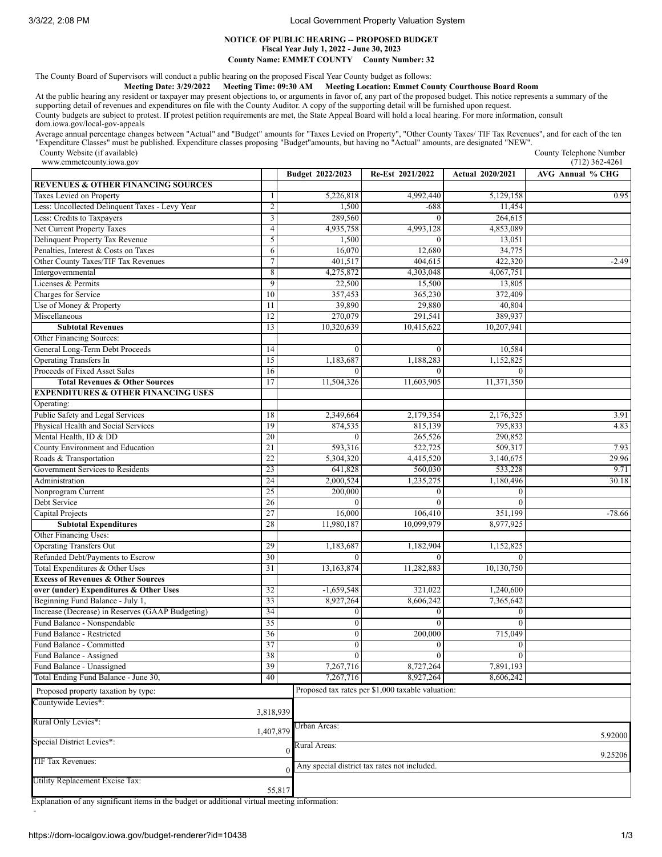3/3/22, 2:08 PM Local Government Property Valuation System

## **NOTICE OF PUBLIC HEARING -- PROPOSED BUDGET Fiscal Year July 1, 2022 - June 30, 2023 County Name: EMMET COUNTY County Number: 32**

The County Board of Supervisors will conduct a public hearing on the proposed Fiscal Year County budget as follows:

**Meeting Date: 3/29/2022 Meeting Time: 09:30 AM Meeting Location: Emmet County Courthouse Board Room**

At the public hearing any resident or taxpayer may present objections to, or arguments in favor of, any part of the proposed budget. This notice represents a summary of the supporting detail of revenues and expenditures on file with the County Auditor. A copy of the supporting detail will be furnished upon request. County budgets are subject to protest. If protest petition requirements are met, the State Appeal Board will hold a local hearing. For more information, consult dom.iowa.gov/local-gov-appeals

Average annual percentage changes between "Actual" and "Budget" amounts for "Taxes Levied on Property", "Other County Taxes/ TIF Tax Revenues", and for each of the ten<br>"Expenditure Classes" must be published. Expenditure c

County Website (if available)

| www.emmetcounty.iowa.gov                                                |                          |                      |                                                   |                         | $(712)$ 362-4261        |
|-------------------------------------------------------------------------|--------------------------|----------------------|---------------------------------------------------|-------------------------|-------------------------|
|                                                                         |                          | Budget 2022/2023     | Re-Est 2021/2022                                  | <b>Actual 2020/2021</b> | <b>AVG Annual % CHG</b> |
| <b>REVENUES &amp; OTHER FINANCING SOURCES</b>                           |                          |                      |                                                   |                         |                         |
| Taxes Levied on Property                                                | $\mathbf{1}$             | 5,226,818            | 4,992,440                                         | 5,129,158               | 0.95                    |
| Less: Uncollected Delinquent Taxes - Levy Year                          | $\overline{2}$           | 1,500                | $-688$                                            | 11,454                  |                         |
| Less: Credits to Taxpayers                                              | $\mathfrak{Z}$           | 289,560              | $\Omega$                                          | 264,615                 |                         |
| Net Current Property Taxes                                              | $\overline{\mathcal{L}}$ | 4,935,758            | 4.993.128                                         | 4,853,089               |                         |
| Delinquent Property Tax Revenue                                         | 5                        | 1,500                | $\theta$                                          | 13,051                  |                         |
| Penalties, Interest & Costs on Taxes                                    | 6                        | 16,070               | 12,680                                            | 34,775                  |                         |
| Other County Taxes/TIF Tax Revenues                                     | $\overline{7}$           | 401,517              | 404,615                                           | 422,320                 | $-2.49$                 |
| Intergovernmental                                                       | 8                        | 4,275,872            | 4.303.048                                         | 4,067,751               |                         |
| Licenses & Permits                                                      | 9                        | 22,500               | 15,500                                            | 13,805                  |                         |
| Charges for Service                                                     | 10                       | 357,453              | 365,230                                           | 372,409                 |                         |
| Use of Money & Property                                                 | 11                       | 39,890               | 29,880                                            | 40,804                  |                         |
| Miscellaneous                                                           | 12                       | 270,079              | 291,541                                           | 389,937                 |                         |
| <b>Subtotal Revenues</b>                                                | 13                       | 10,320,639           | 10,415,622                                        | 10,207,941              |                         |
| Other Financing Sources:                                                |                          |                      |                                                   |                         |                         |
| General Long-Term Debt Proceeds                                         | 14                       | $\mathbf{0}$         | $\theta$                                          | 10,584                  |                         |
| <b>Operating Transfers In</b>                                           | $\overline{15}$          | 1,183,687            | 1,188,283                                         | 1,152,825               |                         |
| Proceeds of Fixed Asset Sales                                           | 16                       | $\Omega$             | $\Omega$                                          | $\Omega$                |                         |
| <b>Total Revenues &amp; Other Sources</b>                               | 17                       | 11,504,326           | 11,603,905                                        | 11,371,350              |                         |
| <b>EXPENDITURES &amp; OTHER FINANCING USES</b>                          |                          |                      |                                                   |                         |                         |
|                                                                         |                          |                      |                                                   |                         |                         |
| Operating:                                                              |                          |                      |                                                   |                         |                         |
| Public Safety and Legal Services<br>Physical Health and Social Services | 18                       | 2,349,664<br>874,535 | 2,179,354                                         | 2,176,325               | 3.91                    |
|                                                                         | 19                       |                      | 815,139                                           | 795,833                 | 4.83                    |
| Mental Health, ID & DD                                                  | 20                       | $\Omega$             | 265,526                                           | 290,852                 |                         |
| County Environment and Education                                        | 21                       | 593,316              | 522,725                                           | 509,317                 | 7.93                    |
| Roads & Transportation                                                  | 22                       | 5,304,320            | 4,415,520                                         | 3,140,675               | 29.96                   |
| Government Services to Residents                                        | 23                       | 641,828              | 560,030                                           | 533,228                 | 9.71                    |
| Administration                                                          | 24                       | 2,000,524            | 1,235,275                                         | 1,180,496               | 30.18                   |
| Nonprogram Current                                                      | 25                       | 200,000              | $\mathbf{0}$                                      | $\mathbf{0}$            |                         |
| Debt Service                                                            | 26                       | $\Omega$             | $\Omega$                                          | $\Omega$                |                         |
| Capital Projects                                                        | 27                       | 16,000               | 106,410                                           | 351,199                 | $-78.66$                |
| <b>Subtotal Expenditures</b>                                            | 28                       | 11,980,187           | 10,099,979                                        | 8,977,925               |                         |
| Other Financing Uses:                                                   |                          |                      |                                                   |                         |                         |
| <b>Operating Transfers Out</b>                                          | 29                       | 1,183,687            | 1,182,904                                         | 1,152,825               |                         |
| Refunded Debt/Payments to Escrow                                        | 30                       | $\theta$             | $\Omega$                                          |                         |                         |
| Total Expenditures & Other Uses                                         | 31                       | 13,163,874           | 11,282,883                                        | 10,130,750              |                         |
| <b>Excess of Revenues &amp; Other Sources</b>                           |                          |                      |                                                   |                         |                         |
| over (under) Expenditures & Other Uses                                  | 32                       | $-1,659,548$         | 321,022                                           | 1,240,600               |                         |
| Beginning Fund Balance - July 1,                                        | 33                       | 8,927,264            | 8,606,242                                         | 7,365,642               |                         |
| Increase (Decrease) in Reserves (GAAP Budgeting)                        | 34                       | $\boldsymbol{0}$     | $\mathbf{0}$                                      | $\mathbf{0}$            |                         |
| Fund Balance - Nonspendable                                             | 35                       | $\boldsymbol{0}$     | $\Omega$                                          | $\Omega$                |                         |
| Fund Balance - Restricted                                               | 36                       | $\boldsymbol{0}$     | 200,000                                           | 715,049                 |                         |
| Fund Balance - Committed                                                | 37                       | $\overline{0}$       | v                                                 | $\boldsymbol{0}$        |                         |
| Fund Balance - Assigned                                                 | 38                       | $\mathbf{0}$         | $\mathbf{0}$                                      | $\mathbf{0}$            |                         |
| Fund Balance - Unassigned                                               | 39                       | 7,267,716            | 8,727,264                                         | 7,891,193               |                         |
| Total Ending Fund Balance - June 30,                                    | 40                       | 7,267,716            | 8,927,264                                         | 8,606,242               |                         |
| Proposed property taxation by type:                                     |                          |                      | Proposed tax rates per \$1,000 taxable valuation: |                         |                         |
|                                                                         |                          |                      |                                                   |                         |                         |
| Countywide Levies*:                                                     | 3,818,939                |                      |                                                   |                         |                         |
| Rural Only Levies*:                                                     | 1,407,879                | Urban Areas:         |                                                   |                         |                         |
| Special District Levies*:                                               |                          | Rural Areas:         |                                                   |                         | 5.92000                 |
| TIF Tax Revenues:                                                       |                          | 0                    |                                                   |                         | 9.25206                 |
|                                                                         |                          |                      | Any special district tax rates not included.      |                         |                         |
| Utility Replacement Excise Tax:                                         | 55,817                   |                      |                                                   |                         |                         |
|                                                                         |                          |                      |                                                   |                         |                         |

Explanation of any significant items in the budget or additional virtual meeting information: -

County Telephone Number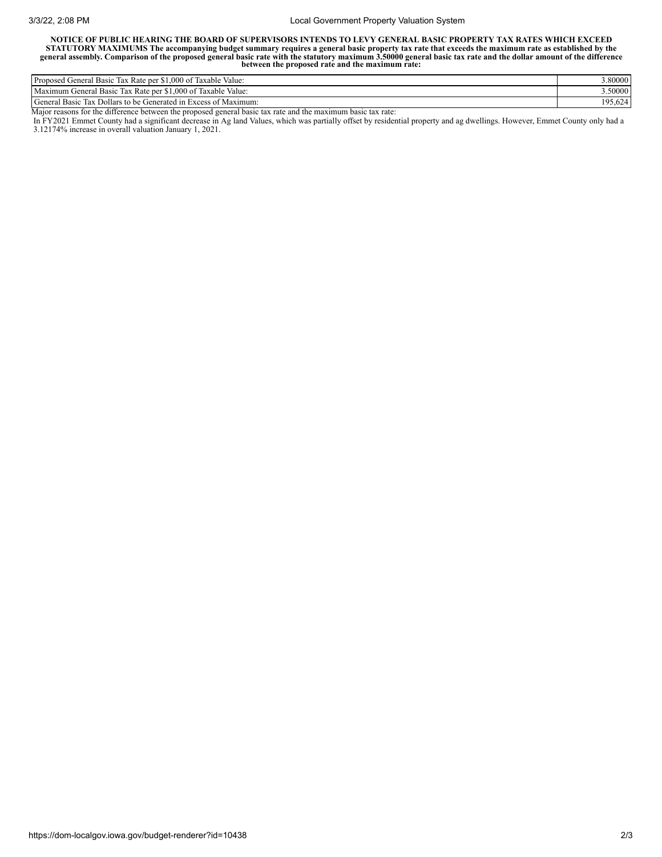## 3/3/22, 2:08 PM Local Government Property Valuation System

NOTICE OF PUBLIC HEARING THE BOARD OF SUPERVISORS INTENDS TO LEVY GENERAL BASIC PROPERTY TAX RATES WHICH EXCEED STATUTORY MAXIMUMS The accompanying budget summary requires a general basic property tax rate that exceeds the maximum rate as established by the<br>general assembly. Comparison of the proposed general basic rate with the sta **between the proposed rate and the maximum rate:**

| $-1$<br>$\sim$<br>Propose<br>\$1,000<br>J of 1<br>Taxable Value:<br>. Kate per<br><b>Basic</b><br>Tax<br>renera <sub>1</sub> | 3.80000                    |
|------------------------------------------------------------------------------------------------------------------------------|----------------------------|
| Taxable Value:<br>Maximum<br>$\sim$<br>Tax Rate per \$1,000 of "<br>Basic<br>Cieneral                                        | .50000                     |
| General<br>Dollars to be C<br>Generated in<br>Basic<br>Maximum:<br>Excess<br><b>Tax</b><br>. ot                              | 10 <sup>2</sup><br>LY 3.02 |

Major reasons for the difference between the proposed general basic tax rate and the maximum basic tax rate:

In FY2021 Emmet County had a significant decrease in Ag land Values, which was partially offset by residential property and ag dwellings. However, Emmet County only had a 3.12174% increase in overall valuation January 1, 2021.